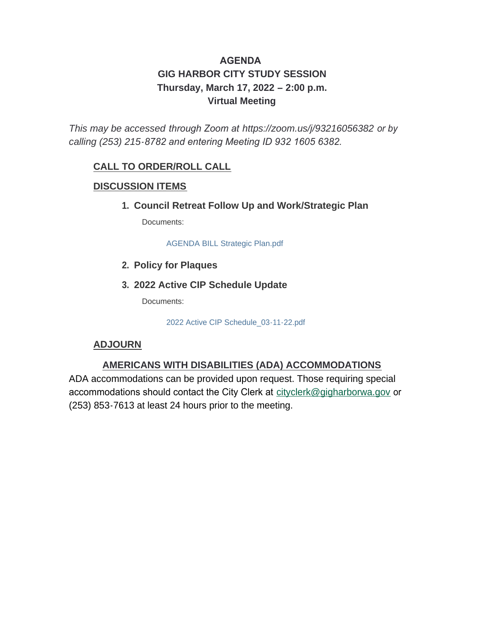### **AGENDA GIG HARBOR CITY STUDY SESSION Thursday, March 17, 2022 – 2:00 p.m. Virtual Meeting**

*This may be accessed through Zoom at <https://zoom.us/j/93216056382> or by calling (253) 215-8782 and entering Meeting ID 932 1605 6382.* 

### **CALL TO ORDER/ROLL CALL**

### **DISCUSSION ITEMS**

**Council Retreat Follow Up and Work/Strategic Plan 1.**

Documents:

AGENDA BILL Strategic Plan.pdf

- **Policy for Plaques 2.**
- **2022 Active CIP Schedule Update 3.**

Documents:

2022 Active CIP Schedule\_03-11-22.pdf

### **ADJOURN**

### **AMERICANS WITH DISABILITIES (ADA) ACCOMMODATIONS**

ADA accommodations can be provided upon request. Those requiring special accommodations should contact the City Clerk at [cityclerk@gigharborwa.gov](mailto:cityclerk@gigharborwa.gov) or (253) 853-7613 at least 24 hours prior to the meeting.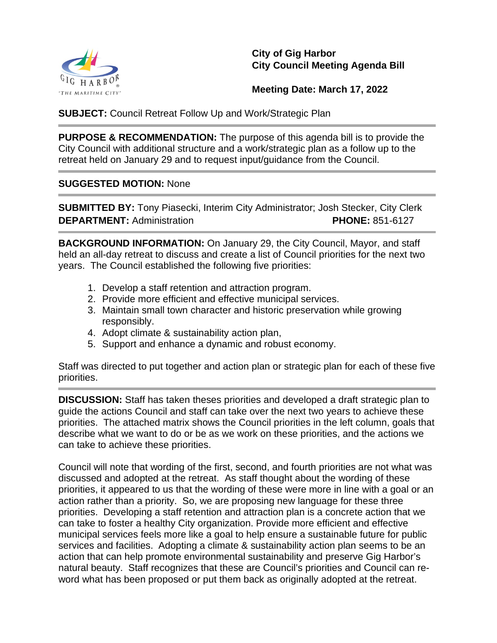

**City of Gig Harbor City Council Meeting Agenda Bill** 

**Meeting Date: March 17, 2022**

**SUBJECT:** Council Retreat Follow Up and Work/Strategic Plan

**PURPOSE & RECOMMENDATION:** The purpose of this agenda bill is to provide the City Council with additional structure and a work/strategic plan as a follow up to the retreat held on January 29 and to request input/guidance from the Council.

#### **SUGGESTED MOTION:** None

**SUBMITTED BY:** Tony Piasecki, Interim City Administrator; Josh Stecker, City Clerk **DEPARTMENT:** Administration **PHONE:** 851-6127

**BACKGROUND INFORMATION:** On January 29, the City Council, Mayor, and staff held an all-day retreat to discuss and create a list of Council priorities for the next two years. The Council established the following five priorities:

- 1. Develop a staff retention and attraction program.
- 2. Provide more efficient and effective municipal services.
- 3. Maintain small town character and historic preservation while growing responsibly.
- 4. Adopt climate & sustainability action plan,
- 5. Support and enhance a dynamic and robust economy.

Staff was directed to put together and action plan or strategic plan for each of these five priorities.

**DISCUSSION:** Staff has taken theses priorities and developed a draft strategic plan to guide the actions Council and staff can take over the next two years to achieve these priorities. The attached matrix shows the Council priorities in the left column, goals that describe what we want to do or be as we work on these priorities, and the actions we can take to achieve these priorities.

Council will note that wording of the first, second, and fourth priorities are not what was discussed and adopted at the retreat. As staff thought about the wording of these priorities, it appeared to us that the wording of these were more in line with a goal or an action rather than a priority. So, we are proposing new language for these three priorities. Developing a staff retention and attraction plan is a concrete action that we can take to foster a healthy City organization. Provide more efficient and effective municipal services feels more like a goal to help ensure a sustainable future for public services and facilities. Adopting a climate & sustainability action plan seems to be an action that can help promote environmental sustainability and preserve Gig Harbor's natural beauty. Staff recognizes that these are Council's priorities and Council can reword what has been proposed or put them back as originally adopted at the retreat.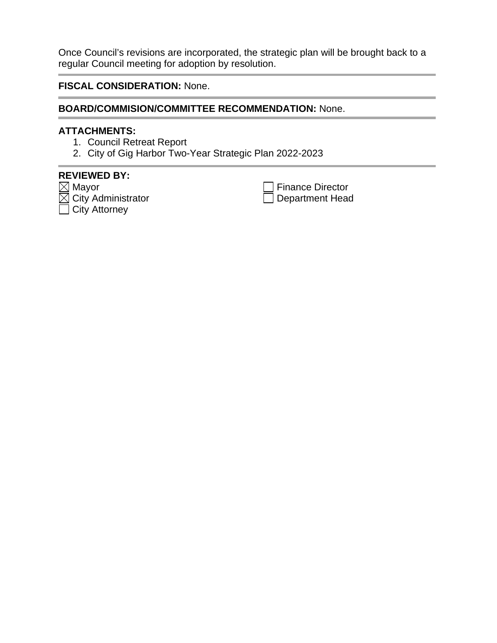Once Council's revisions are incorporated, the strategic plan will be brought back to a regular Council meeting for adoption by resolution.

**FISCAL CONSIDERATION:** None.

#### **BOARD/COMMISION/COMMITTEE RECOMMENDATION:** None.

#### **ATTACHMENTS:**

- 1. Council Retreat Report
- 2. City of Gig Harbor Two-Year Strategic Plan 2022-2023

### **REVIEWED BY:**

 $\boxtimes$  Mayor  $\overline{\textcolor{orange}\sum}$  City Administrator  $\Box$  City Attorney

Finance Director Department Head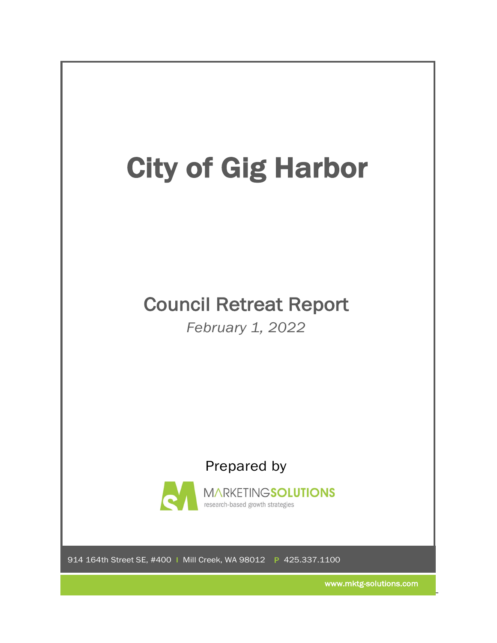

www.mktg-solutions.com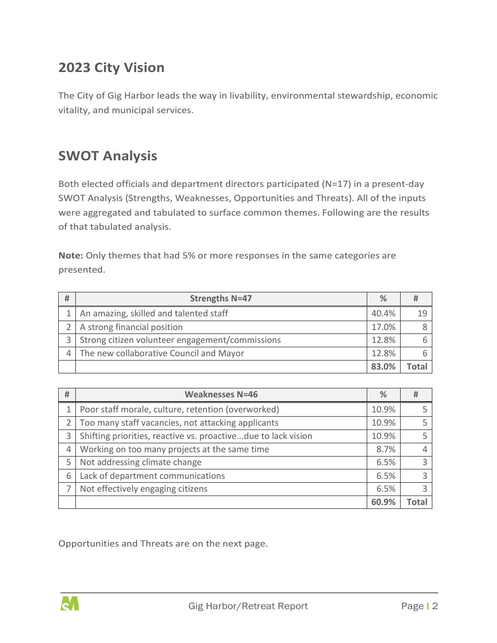### **2023 City Vision**

The City of Gig Harbor leads the way in livability, environmental stewardship, economic vitality, and municipal services.

### **SWOT Analysis**

Both elected officials and department directors participated (N=17) in a present-day SWOT Analysis (Strengths, Weaknesses, Opportunities and Threats). All of the inputs were aggregated and tabulated to surface common themes. Following are the results of that tabulated analysis.

**Note:** Only themes that had 5% or more responses in the same categories are presented.

| # | <b>Strengths N=47</b>                           | $\frac{9}{6}$ |  |
|---|-------------------------------------------------|---------------|--|
|   | An amazing, skilled and talented staff          | 40.4%         |  |
|   | A strong financial position                     |               |  |
|   | Strong citizen volunteer engagement/commissions | 12.8%         |  |
|   | The new collaborative Council and Mayor         |               |  |
|   |                                                 | 83.0%         |  |

| # | <b>Weaknesses N=46</b>                                        | ℅     | #    |
|---|---------------------------------------------------------------|-------|------|
|   | Poor staff morale, culture, retention (overworked)            | 10.9% |      |
|   | Too many staff vacancies, not attacking applicants            | 10.9% |      |
| 3 | Shifting priorities, reactive vs. proactivedue to lack vision | 10.9% |      |
| 4 | Working on too many projects at the same time                 | 8.7%  |      |
| 5 | Not addressing climate change                                 | 6.5%  |      |
| 6 | Lack of department communications                             | 6.5%  |      |
|   | Not effectively engaging citizens                             | 6.5%  |      |
|   |                                                               | 60.9% | Tota |

Opportunities and Threats are on the next page.

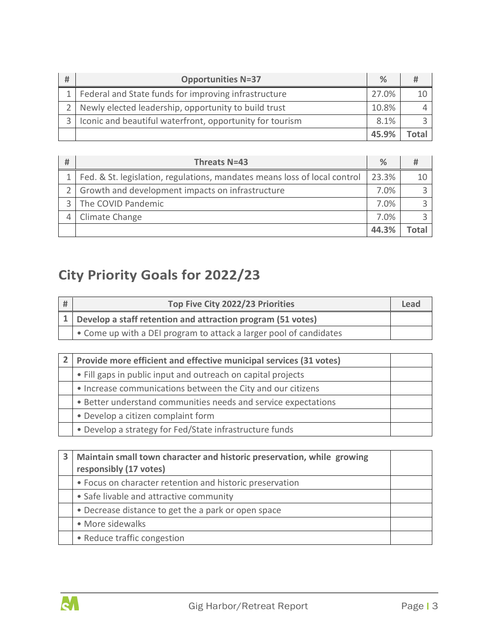| # | <b>Opportunities N=37</b>                                | $\%$  |  |
|---|----------------------------------------------------------|-------|--|
|   | Federal and State funds for improving infrastructure     | 27.0% |  |
|   | 2 Newly elected leadership, opportunity to build trust   | 10.8% |  |
|   | Iconic and beautiful waterfront, opportunity for tourism |       |  |
|   |                                                          | 45.9% |  |

| # | Threats N=43                                                              | $\%$    |      |
|---|---------------------------------------------------------------------------|---------|------|
|   | Fed. & St. legislation, regulations, mandates means loss of local control | 23.3%   |      |
|   | Growth and development impacts on infrastructure                          | $7.0\%$ |      |
|   | The COVID Pandemic                                                        | 7.0%    |      |
|   | Climate Change                                                            | 7.0%    |      |
|   |                                                                           | 44.3%   | `nta |

# **City Priority Goals for 2022/23**

| # | Top Five City 2022/23 Priorities                                   |  |
|---|--------------------------------------------------------------------|--|
|   | 1 Develop a staff retention and attraction program (51 votes)      |  |
|   | • Come up with a DEI program to attack a larger pool of candidates |  |

| Provide more efficient and effective municipal services (31 votes) |  |  |  |
|--------------------------------------------------------------------|--|--|--|
| • Fill gaps in public input and outreach on capital projects       |  |  |  |
| • Increase communications between the City and our citizens        |  |  |  |
| • Better understand communities needs and service expectations     |  |  |  |
| • Develop a citizen complaint form                                 |  |  |  |
| • Develop a strategy for Fed/State infrastructure funds            |  |  |  |

| 3 | Maintain small town character and historic preservation, while growing<br>responsibly (17 votes) |  |
|---|--------------------------------------------------------------------------------------------------|--|
|   | • Focus on character retention and historic preservation                                         |  |
|   | • Safe livable and attractive community                                                          |  |
|   | • Decrease distance to get the a park or open space                                              |  |
|   | • More sidewalks                                                                                 |  |
|   | • Reduce traffic congestion                                                                      |  |

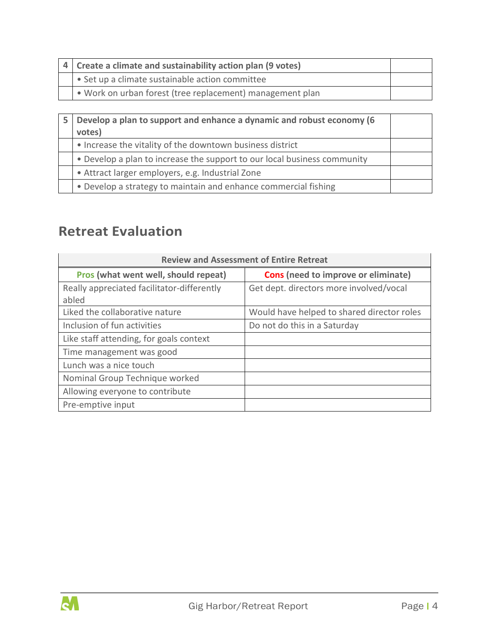| 4 Create a climate and sustainability action plan (9 votes) |  |
|-------------------------------------------------------------|--|
| • Set up a climate sustainable action committee             |  |
| • Work on urban forest (tree replacement) management plan   |  |

| 5 | Develop a plan to support and enhance a dynamic and robust economy (6<br>votes) |  |
|---|---------------------------------------------------------------------------------|--|
|   | • Increase the vitality of the downtown business district                       |  |
|   | • Develop a plan to increase the support to our local business community        |  |
|   | • Attract larger employers, e.g. Industrial Zone                                |  |
|   | • Develop a strategy to maintain and enhance commercial fishing                 |  |

## **Retreat Evaluation**

| <b>Review and Assessment of Entire Retreat</b>      |                                            |  |
|-----------------------------------------------------|--------------------------------------------|--|
| Pros (what went well, should repeat)                | <b>Cons</b> (need to improve or eliminate) |  |
| Really appreciated facilitator-differently<br>abled | Get dept. directors more involved/vocal    |  |
| Liked the collaborative nature                      | Would have helped to shared director roles |  |
| Inclusion of fun activities                         | Do not do this in a Saturday               |  |
| Like staff attending, for goals context             |                                            |  |
| Time management was good                            |                                            |  |
| Lunch was a nice touch                              |                                            |  |
| Nominal Group Technique worked                      |                                            |  |
| Allowing everyone to contribute                     |                                            |  |
| Pre-emptive input                                   |                                            |  |

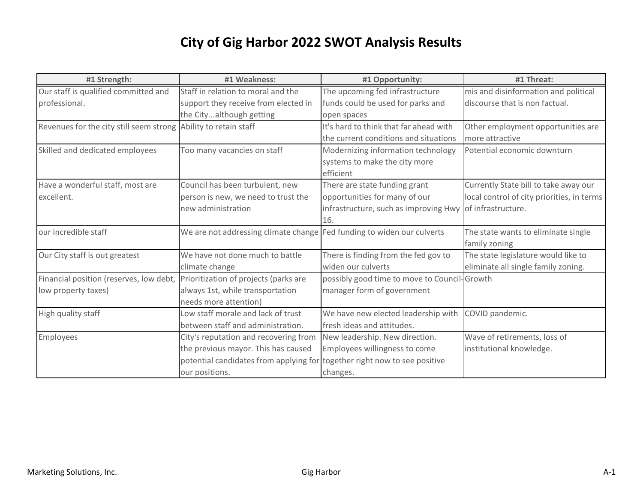| #1 Strength:                                                    | #1 Weakness:                                                           | #1 Opportunity:                              | #1 Threat:                                 |
|-----------------------------------------------------------------|------------------------------------------------------------------------|----------------------------------------------|--------------------------------------------|
| Our staff is qualified committed and                            | Staff in relation to moral and the                                     | The upcoming fed infrastructure              | mis and disinformation and political       |
| professional.                                                   | support they receive from elected in                                   | funds could be used for parks and            | discourse that is non factual.             |
|                                                                 | the Cityalthough getting                                               | open spaces                                  |                                            |
| Revenues for the city still seem strong Ability to retain staff |                                                                        | It's hard to think that far ahead with       | Other employment opportunities are         |
|                                                                 |                                                                        | the current conditions and situations        | more attractive                            |
| Skilled and dedicated employees                                 | Too many vacancies on staff                                            | Modernizing information technology           | Potential economic downturn                |
|                                                                 |                                                                        | systems to make the city more                |                                            |
|                                                                 |                                                                        | efficient                                    |                                            |
| Have a wonderful staff, most are                                | Council has been turbulent, new                                        | There are state funding grant                | Currently State bill to take away our      |
| excellent.                                                      | person is new, we need to trust the                                    | opportunities for many of our                | local control of city priorities, in terms |
|                                                                 | new administration                                                     | infrastructure, such as improving Hwy        | of infrastructure.                         |
|                                                                 |                                                                        | 16.                                          |                                            |
| our incredible staff                                            | We are not addressing climate change Fed funding to widen our culverts |                                              | The state wants to eliminate single        |
|                                                                 |                                                                        |                                              | family zoning                              |
| Our City staff is out greatest                                  | We have not done much to battle                                        | There is finding from the fed gov to         | The state legislature would like to        |
|                                                                 | climate change                                                         | widen our culverts                           | eliminate all single family zoning.        |
| Financial position (reserves, low debt,                         | Prioritization of projects (parks are                                  | possibly good time to move to Council-Growth |                                            |
| low property taxes)                                             | always 1st, while transportation                                       | manager form of government                   |                                            |
|                                                                 | needs more attention)                                                  |                                              |                                            |
| High quality staff                                              | Low staff morale and lack of trust                                     | We have new elected leadership with          | COVID pandemic.                            |
|                                                                 | between staff and administration.                                      | fresh ideas and attitudes.                   |                                            |
| Employees                                                       | City's reputation and recovering from                                  | New leadership. New direction.               | Wave of retirements, loss of               |
|                                                                 | the previous mayor. This has caused                                    | Employees willingness to come                | institutional knowledge.                   |
|                                                                 | potential candidates from applying for                                 | together right now to see positive           |                                            |
|                                                                 | our positions.                                                         | changes.                                     |                                            |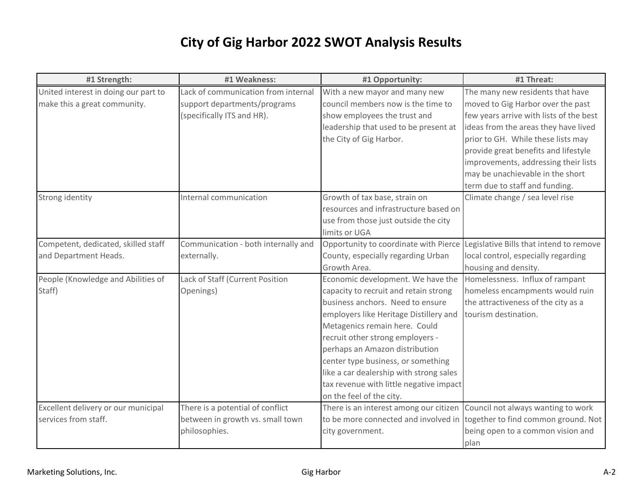| #1 Strength:                         | #1 Weakness:                        | #1 Opportunity:                                                               | #1 Threat:                              |
|--------------------------------------|-------------------------------------|-------------------------------------------------------------------------------|-----------------------------------------|
| United interest in doing our part to | Lack of communication from internal | With a new mayor and many new                                                 | The many new residents that have        |
| make this a great community.         | support departments/programs        | council members now is the time to                                            | moved to Gig Harbor over the past       |
|                                      | (specifically ITS and HR).          | show employees the trust and                                                  | few years arrive with lists of the best |
|                                      |                                     | leadership that used to be present at                                         | ideas from the areas they have lived    |
|                                      |                                     | the City of Gig Harbor.                                                       | prior to GH. While these lists may      |
|                                      |                                     |                                                                               | provide great benefits and lifestyle    |
|                                      |                                     |                                                                               | improvements, addressing their lists    |
|                                      |                                     |                                                                               | may be unachievable in the short        |
|                                      |                                     |                                                                               | term due to staff and funding.          |
| Strong identity                      | Internal communication              | Growth of tax base, strain on                                                 | Climate change / sea level rise         |
|                                      |                                     | resources and infrastructure based on                                         |                                         |
|                                      |                                     | use from those just outside the city                                          |                                         |
|                                      |                                     | limits or UGA                                                                 |                                         |
| Competent, dedicated, skilled staff  | Communication - both internally and | Opportunity to coordinate with Pierce Legislative Bills that intend to remove |                                         |
| and Department Heads.                | externally.                         | County, especially regarding Urban                                            | local control, especially regarding     |
|                                      |                                     | Growth Area.                                                                  | housing and density.                    |
| People (Knowledge and Abilities of   | Lack of Staff (Current Position     | Economic development. We have the                                             | Homelessness. Influx of rampant         |
| Staff)                               | Openings)                           | capacity to recruit and retain strong                                         | homeless encampments would ruin         |
|                                      |                                     | business anchors. Need to ensure                                              | the attractiveness of the city as a     |
|                                      |                                     | employers like Heritage Distillery and                                        | tourism destination.                    |
|                                      |                                     | Metagenics remain here. Could                                                 |                                         |
|                                      |                                     | recruit other strong employers -                                              |                                         |
|                                      |                                     | perhaps an Amazon distribution                                                |                                         |
|                                      |                                     | center type business, or something                                            |                                         |
|                                      |                                     | like a car dealership with strong sales                                       |                                         |
|                                      |                                     | tax revenue with little negative impact                                       |                                         |
|                                      |                                     | on the feel of the city.                                                      |                                         |
| Excellent delivery or our municipal  | There is a potential of conflict    | There is an interest among our citizen Council not always wanting to work     |                                         |
| services from staff.                 | between in growth vs. small town    | to be more connected and involved in together to find common ground. Not      |                                         |
|                                      | philosophies.                       | city government.                                                              | being open to a common vision and       |
|                                      |                                     |                                                                               | plan                                    |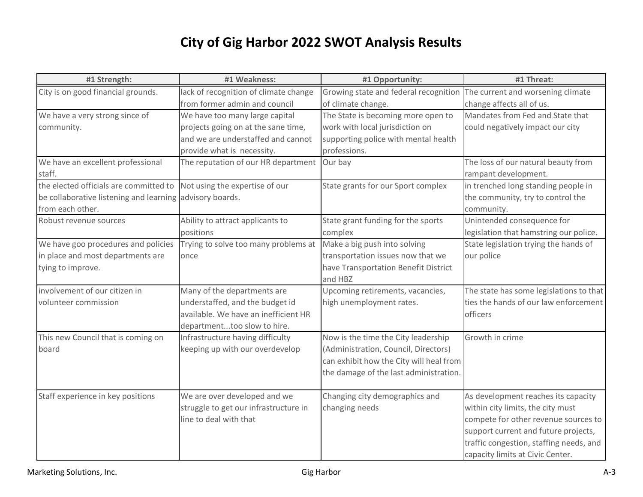| #1 Strength:                                             | #1 Weakness:                          | #1 Opportunity:                                                         | #1 Threat:                              |
|----------------------------------------------------------|---------------------------------------|-------------------------------------------------------------------------|-----------------------------------------|
| City is on good financial grounds.                       | lack of recognition of climate change | Growing state and federal recognition The current and worsening climate |                                         |
|                                                          | from former admin and council         | of climate change.                                                      | change affects all of us.               |
| We have a very strong since of                           | We have too many large capital        | The State is becoming more open to                                      | Mandates from Fed and State that        |
| community.                                               | projects going on at the sane time,   | work with local jurisdiction on                                         | could negatively impact our city        |
|                                                          | and we are understaffed and cannot    | supporting police with mental health                                    |                                         |
|                                                          | provide what is necessity.            | professions.                                                            |                                         |
| We have an excellent professional                        | The reputation of our HR department   | Our bay                                                                 | The loss of our natural beauty from     |
| staff.                                                   |                                       |                                                                         | rampant development.                    |
| the elected officials are committed to                   | Not using the expertise of our        | State grants for our Sport complex                                      | in trenched long standing people in     |
| be collaborative listening and learning advisory boards. |                                       |                                                                         | the community, try to control the       |
| from each other.                                         |                                       |                                                                         | community.                              |
| Robust revenue sources                                   | Ability to attract applicants to      | State grant funding for the sports                                      | Unintended consequence for              |
|                                                          | positions                             | complex                                                                 | legislation that hamstring our police.  |
| We have goo procedures and policies                      | Trying to solve too many problems at  | Make a big push into solving                                            | State legislation trying the hands of   |
| in place and most departments are                        | once                                  | transportation issues now that we                                       | our police                              |
| tying to improve.                                        |                                       | have Transportation Benefit District                                    |                                         |
|                                                          |                                       | and HBZ                                                                 |                                         |
| involvement of our citizen in                            | Many of the departments are           | Upcoming retirements, vacancies,                                        | The state has some legislations to that |
| volunteer commission                                     | understaffed, and the budget id       | high unemployment rates.                                                | ties the hands of our law enforcement   |
|                                                          | available. We have an inefficient HR  |                                                                         | officers                                |
|                                                          | departmenttoo slow to hire.           |                                                                         |                                         |
| This new Council that is coming on                       | Infrastructure having difficulty      | Now is the time the City leadership                                     | Growth in crime                         |
| board                                                    | keeping up with our overdevelop       | (Administration, Council, Directors)                                    |                                         |
|                                                          |                                       | can exhibit how the City will heal from                                 |                                         |
|                                                          |                                       | the damage of the last administration.                                  |                                         |
|                                                          |                                       |                                                                         |                                         |
| Staff experience in key positions                        | We are over developed and we          | Changing city demographics and                                          | As development reaches its capacity     |
|                                                          | struggle to get our infrastructure in | changing needs                                                          | within city limits, the city must       |
|                                                          | line to deal with that                |                                                                         | compete for other revenue sources to    |
|                                                          |                                       |                                                                         | support current and future projects,    |
|                                                          |                                       |                                                                         | traffic congestion, staffing needs, and |
|                                                          |                                       |                                                                         | capacity limits at Civic Center.        |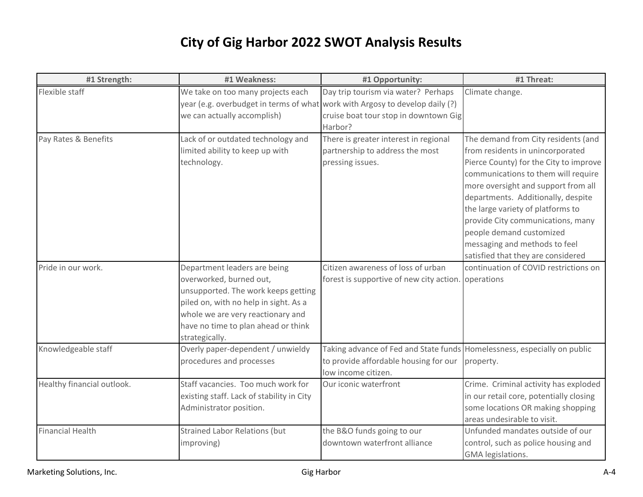| #1 Strength:               | #1 Weakness:                                                                                                                                                                                                                          | #1 Opportunity:                                                                                                                                                         | #1 Threat:                                                                                                                                                                                                                                                                                                                                                                                                         |  |  |  |
|----------------------------|---------------------------------------------------------------------------------------------------------------------------------------------------------------------------------------------------------------------------------------|-------------------------------------------------------------------------------------------------------------------------------------------------------------------------|--------------------------------------------------------------------------------------------------------------------------------------------------------------------------------------------------------------------------------------------------------------------------------------------------------------------------------------------------------------------------------------------------------------------|--|--|--|
| Flexible staff             | We take on too many projects each<br>we can actually accomplish)                                                                                                                                                                      | Day trip tourism via water? Perhaps<br>year (e.g. overbudget in terms of what work with Argosy to develop daily (?)<br>cruise boat tour stop in downtown Gig<br>Harbor? | Climate change.                                                                                                                                                                                                                                                                                                                                                                                                    |  |  |  |
| Pay Rates & Benefits       | Lack of or outdated technology and<br>limited ability to keep up with<br>technology.                                                                                                                                                  | There is greater interest in regional<br>partnership to address the most<br>pressing issues.                                                                            | The demand from City residents (and<br>from residents in unincorporated<br>Pierce County) for the City to improve<br>communications to them will require<br>more oversight and support from all<br>departments. Additionally, despite<br>the large variety of platforms to<br>provide City communications, many<br>people demand customized<br>messaging and methods to feel<br>satisfied that they are considered |  |  |  |
| Pride in our work.         | Department leaders are being<br>overworked, burned out,<br>unsupported. The work keeps getting<br>piled on, with no help in sight. As a<br>whole we are very reactionary and<br>have no time to plan ahead or think<br>strategically. | Citizen awareness of loss of urban<br>forest is supportive of new city action. operations                                                                               | continuation of COVID restrictions on                                                                                                                                                                                                                                                                                                                                                                              |  |  |  |
| Knowledgeable staff        | Overly paper-dependent / unwieldy<br>procedures and processes                                                                                                                                                                         | Taking advance of Fed and State funds Homelessness, especially on public<br>to provide affordable housing for our<br>low income citizen.                                | property.                                                                                                                                                                                                                                                                                                                                                                                                          |  |  |  |
| Healthy financial outlook. | Staff vacancies. Too much work for<br>existing staff. Lack of stability in City<br>Administrator position.                                                                                                                            | Our iconic waterfront                                                                                                                                                   | Crime. Criminal activity has exploded<br>in our retail core, potentially closing<br>some locations OR making shopping<br>areas undesirable to visit.                                                                                                                                                                                                                                                               |  |  |  |
| <b>Financial Health</b>    | <b>Strained Labor Relations (but</b><br>improving)                                                                                                                                                                                    | the B&O funds going to our<br>downtown waterfront alliance                                                                                                              | Unfunded mandates outside of our<br>control, such as police housing and<br>GMA legislations.                                                                                                                                                                                                                                                                                                                       |  |  |  |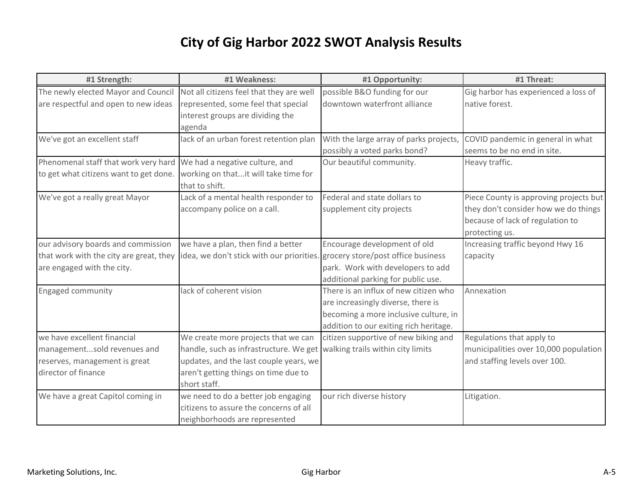| #1 Strength:                            | #1 Weakness:                                                                 | #1 Opportunity:                         | #1 Threat:                             |
|-----------------------------------------|------------------------------------------------------------------------------|-----------------------------------------|----------------------------------------|
| The newly elected Mayor and Council     | Not all citizens feel that they are well                                     | possible B&O funding for our            | Gig harbor has experienced a loss of   |
| are respectful and open to new ideas    | represented, some feel that special                                          | downtown waterfront alliance            | native forest.                         |
|                                         | interest groups are dividing the                                             |                                         |                                        |
|                                         | agenda                                                                       |                                         |                                        |
| We've got an excellent staff            | lack of an urban forest retention plan                                       | With the large array of parks projects, | COVID pandemic in general in what      |
|                                         |                                                                              | possibly a voted parks bond?            | seems to be no end in site.            |
| Phenomenal staff that work very hard    | We had a negative culture, and                                               | Our beautiful community.                | Heavy traffic.                         |
| to get what citizens want to get done.  | working on thatit will take time for                                         |                                         |                                        |
|                                         | that to shift.                                                               |                                         |                                        |
| We've got a really great Mayor          | Lack of a mental health responder to                                         | Federal and state dollars to            | Piece County is approving projects but |
|                                         | accompany police on a call.                                                  | supplement city projects                | they don't consider how we do things   |
|                                         |                                                                              |                                         | because of lack of regulation to       |
|                                         |                                                                              |                                         | protecting us.                         |
| our advisory boards and commission      | we have a plan, then find a better                                           | Encourage development of old            | Increasing traffic beyond Hwy 16       |
| that work with the city are great, they | idea, we don't stick with our priorities. grocery store/post office business |                                         | capacity                               |
| are engaged with the city.              |                                                                              | park. Work with developers to add       |                                        |
|                                         |                                                                              | additional parking for public use.      |                                        |
| <b>Engaged community</b>                | lack of coherent vision                                                      | There is an influx of new citizen who   | Annexation                             |
|                                         |                                                                              | are increasingly diverse, there is      |                                        |
|                                         |                                                                              | becoming a more inclusive culture, in   |                                        |
|                                         |                                                                              | addition to our exiting rich heritage.  |                                        |
| we have excellent financial             | We create more projects that we can                                          | citizen supportive of new biking and    | Regulations that apply to              |
| managementsold revenues and             | handle, such as infrastructure. We get walking trails within city limits     |                                         | municipalities over 10,000 population  |
| reserves, management is great           | updates, and the last couple years, we                                       |                                         | and staffing levels over 100.          |
| director of finance                     | aren't getting things on time due to                                         |                                         |                                        |
|                                         | short staff.                                                                 |                                         |                                        |
| We have a great Capitol coming in       | we need to do a better job engaging                                          | our rich diverse history                | Litigation.                            |
|                                         | citizens to assure the concerns of all                                       |                                         |                                        |
|                                         | neighborhoods are represented                                                |                                         |                                        |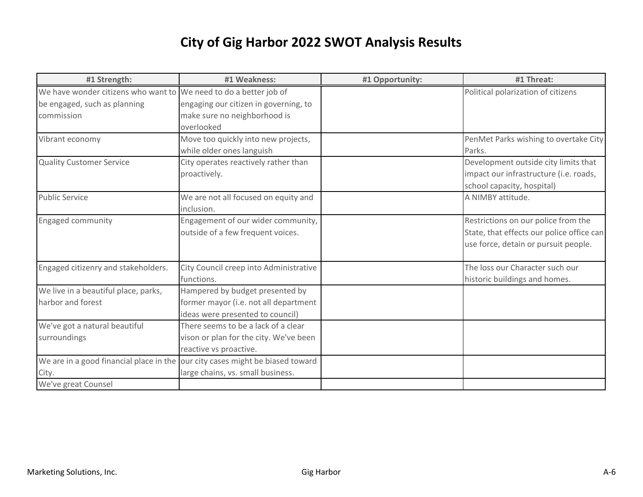| #1 Strength:                                                                  | #1 Weakness:                           | #1 Opportunity: | #1 Threat:                                |
|-------------------------------------------------------------------------------|----------------------------------------|-----------------|-------------------------------------------|
| We have wonder citizens who want to We need to do a better job of             |                                        |                 | Political polarization of citizens        |
| be engaged, such as planning                                                  | engaging our citizen in governing, to  |                 |                                           |
| commission                                                                    | make sure no neighborhood is           |                 |                                           |
|                                                                               | overlooked                             |                 |                                           |
| Vibrant economy                                                               | Move too quickly into new projects,    |                 | PenMet Parks wishing to overtake City     |
|                                                                               | while older ones languish              |                 | Parks.                                    |
| <b>Quality Customer Service</b>                                               | City operates reactively rather than   |                 | Development outside city limits that      |
|                                                                               | proactively.                           |                 | impact our infrastructure (i.e. roads,    |
|                                                                               |                                        |                 | school capacity, hospital)                |
| <b>Public Service</b>                                                         | We are not all focused on equity and   |                 | A NIMBY attitude.                         |
|                                                                               | inclusion.                             |                 |                                           |
| Engaged community                                                             | Engagement of our wider community,     |                 | Restrictions on our police from the       |
|                                                                               | outside of a few frequent voices.      |                 | State, that effects our police office can |
|                                                                               |                                        |                 | use force, detain or pursuit people.      |
|                                                                               |                                        |                 |                                           |
| Engaged citizenry and stakeholders.                                           | City Council creep into Administrative |                 | The loss our Character such our           |
|                                                                               | functions.                             |                 | historic buildings and homes.             |
| We live in a beautiful place, parks,                                          | Hampered by budget presented by        |                 |                                           |
| harbor and forest                                                             | former mayor (i.e. not all department  |                 |                                           |
|                                                                               | ideas were presented to council)       |                 |                                           |
| We've got a natural beautiful                                                 | There seems to be a lack of a clear    |                 |                                           |
| surroundings                                                                  | vison or plan for the city. We've been |                 |                                           |
|                                                                               | reactive vs proactive.                 |                 |                                           |
| We are in a good financial place in the our city cases might be biased toward |                                        |                 |                                           |
| City.                                                                         | large chains, vs. small business.      |                 |                                           |
| We've great Counsel                                                           |                                        |                 |                                           |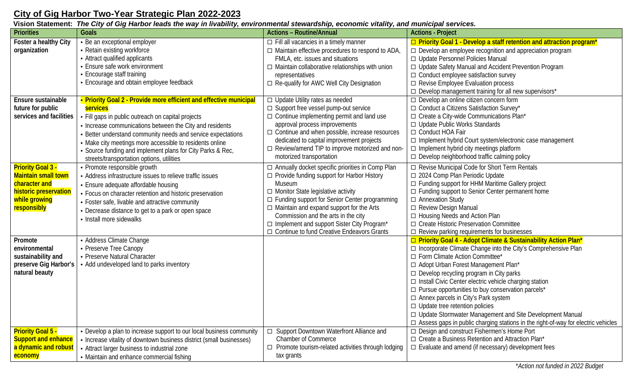### **City of Gig Harbor Two-Year Strategic Plan 2022-2023**

|                                                                                                                                  | Vision Statement: The City of Gig Harbor leads the way in livability, environmental stewardship, economic vitality, and municipal services.                                                                                                                                                                                                                                                                                             |                                                                                                                                                                                                                                                                                                                                                                                                                    |                                                                                                                                                                                                                                                                                                                                                                                                                                                                                                                                                                                                                                            |
|----------------------------------------------------------------------------------------------------------------------------------|-----------------------------------------------------------------------------------------------------------------------------------------------------------------------------------------------------------------------------------------------------------------------------------------------------------------------------------------------------------------------------------------------------------------------------------------|--------------------------------------------------------------------------------------------------------------------------------------------------------------------------------------------------------------------------------------------------------------------------------------------------------------------------------------------------------------------------------------------------------------------|--------------------------------------------------------------------------------------------------------------------------------------------------------------------------------------------------------------------------------------------------------------------------------------------------------------------------------------------------------------------------------------------------------------------------------------------------------------------------------------------------------------------------------------------------------------------------------------------------------------------------------------------|
| <b>Priorities</b>                                                                                                                | Goals                                                                                                                                                                                                                                                                                                                                                                                                                                   | <b>Actions - Routine/Annual</b>                                                                                                                                                                                                                                                                                                                                                                                    | <b>Actions - Project</b>                                                                                                                                                                                                                                                                                                                                                                                                                                                                                                                                                                                                                   |
| Foster a healthy City<br>organization                                                                                            | • Be an exceptional employer<br>• Retain existing workforce<br>• Attract qualified applicants<br>• Ensure safe work environment<br>• Encourage staff training<br>• Encourage and obtain employee feedback                                                                                                                                                                                                                               | $\Box$ Fill all vacancies in a timely manner<br>$\Box$ Maintain effective procedures to respond to ADA,<br>FMLA, etc. issues and situations<br>$\Box$ Maintain collaborative relationships with union<br>representatives<br>□ Re-qualify for AWC Well City Designation                                                                                                                                             | □ Priority Goal 1 - Develop a staff retention and attraction program*<br>$\Box$ Develop an employee recognition and appreciation program<br>□ Update Personnel Policies Manual<br>□ Update Safety Manual and Accident Prevention Program<br>$\Box$ Conduct employee satisfaction survey<br>$\Box$ Revise Employee Evaluation process<br>$\Box$ Develop management training for all new supervisors*                                                                                                                                                                                                                                        |
| Ensure sustainable<br>future for public<br>services and facilities                                                               | • Priority Goal 2 - Provide more efficient and effective municipal<br>services<br>• Fill gaps in public outreach on capital projects<br>• Increase communications between the City and residents<br>• Better understand community needs and service expectations<br>• Make city meetings more accessible to residents online<br>• Source funding and implement plans for City Parks & Rec,<br>streets/transportation options, utilities | $\Box$ Update Utility rates as needed<br>$\Box$ Support free vessel pump-out service<br>$\Box$ Continue implementing permit and land use<br>approval process improvements<br>$\Box$ Continue and when possible, increase resources<br>dedicated to capital improvement projects<br>□ Review/amend TIP to improve motorized and non-<br>motorized transportation                                                    | $\Box$ Develop an online citizen concern form<br>$\Box$ Conduct a Citizens Satisfaction Survey*<br>$\Box$ Create a City-wide Communications Plan*<br>$\Box$ Update Public Works Standards<br>□ Conduct HOA Fair<br>□ Implement hybrid Court system/electronic case management<br>$\Box$ Implement hybrid city meetings platform<br>$\Box$ Develop neighborhood traffic calming policy                                                                                                                                                                                                                                                      |
| <b>Priority Goal 3 -</b><br><b>Maintain small town</b><br>character and<br>historic preservation<br>while growing<br>responsibly | • Promote responsible growth<br>• Address infrastructure issues to relieve traffic issues<br>• Ensure adequate affordable housing<br>• Focus on character retention and historic preservation<br>• Foster safe, livable and attractive community<br>• Decrease distance to get to a park or open space<br>• Install more sidewalks                                                                                                      | $\Box$ Annually docket specific priorities in Comp Plan<br>$\Box$ Provide funding support for Harbor History<br><b>Museum</b><br>$\Box$ Monitor State legislative activity<br>□ Funding support for Senior Center programming<br>□ Maintain and expand support for the Arts<br>Commission and the arts in the city<br>□ Implement and support Sister City Program*<br>□ Continue to fund Creative Endeavors Grants | □ Revise Municipal Code for Short Term Rentals<br>□ 2024 Comp Plan Periodic Update<br>$\Box$ Funding support for HHM Maritime Gallery project<br>□ Funding support to Senior Center permanent home<br>$\Box$ Annexation Study<br>□ Review Design Manual<br>□ Housing Needs and Action Plan<br>□ Create Historic Preservation Committee<br>$\Box$ Review parking requirements for businesses                                                                                                                                                                                                                                                |
| Promote<br>environmental<br>sustainability and<br>preserve Gig Harbor's<br>natural beauty                                        | • Address Climate Change<br>• Preserve Tree Canopy<br>• Preserve Natural Character<br>• Add undeveloped land to parks inventory                                                                                                                                                                                                                                                                                                         |                                                                                                                                                                                                                                                                                                                                                                                                                    | □ Priority Goal 4 - Adopt Climate & Sustainability Action Plan*<br>□ Incorporate Climate Change into the City's Comprehensive Plan<br>□ Form Climate Action Committee*<br>□ Adopt Urban Forest Management Plan*<br>$\Box$ Develop recycling program in City parks<br>□ Install Civic Center electric vehicle charging station<br>$\Box$ Pursue opportunities to buy conservation parcels*<br>$\Box$ Annex parcels in City's Park system<br>$\Box$ Update tree retention policies<br>□ Update Stormwater Management and Site Development Manual<br>$\Box$ Assess gaps in public charging stations in the right-of-way for electric vehicles |
| <b>Priority Goal 5 -</b><br><b>Support and enhance</b><br>a dynamic and robust<br><b>economy</b>                                 | • Develop a plan to increase support to our local business community<br>• Increase vitality of downtown business district (small businesses)<br>• Attract larger business to industrial zone<br>• Maintain and enhance commercial fishing                                                                                                                                                                                               | Support Downtown Waterfront Alliance and<br>$\Box$<br><b>Chamber of Commerce</b><br>Promote tourism-related activities through lodging<br>$\Box$<br>tax grants                                                                                                                                                                                                                                                     | □ Design and construct Fishermen's Home Port<br>□ Create a Business Retention and Attraction Plan*<br>$\Box$ Evaluate and amend (if necessary) development fees                                                                                                                                                                                                                                                                                                                                                                                                                                                                            |

\**Action not funded in 2022 Budget*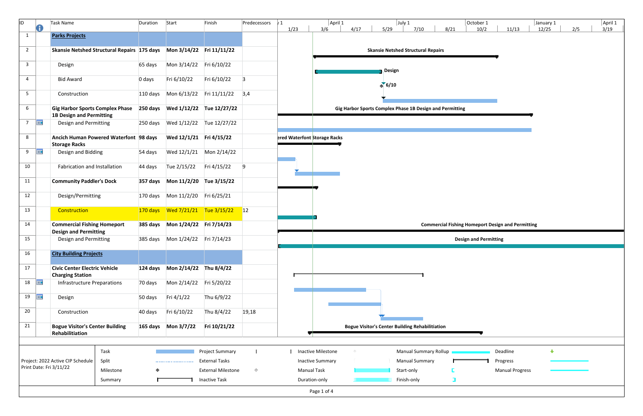| ID.            | O           | Task Name                                                                 | Duration | Start                   | Finish                    | Predecessors | $\sqrt{1}$<br>1/23 | April 1<br>4/17<br>3/6                               | $ $ July 1<br>5/29<br>7/10                               | 8/21 | October 1<br>10/2<br>11/13                               | January 1<br>12/25   | 2/5 | April 1<br>3/19 |
|----------------|-------------|---------------------------------------------------------------------------|----------|-------------------------|---------------------------|--------------|--------------------|------------------------------------------------------|----------------------------------------------------------|------|----------------------------------------------------------|----------------------|-----|-----------------|
| $\mathbf{1}$   |             | <b>Parks Projects</b>                                                     |          |                         |                           |              |                    |                                                      |                                                          |      |                                                          |                      |     |                 |
| $2^{\circ}$    |             | Skansie Netshed Structural Repairs 175 days Mon 3/14/22 Fri 11/11/22      |          |                         |                           |              |                    |                                                      | <b>Skansie Netshed Structural Repairs</b>                |      |                                                          |                      |     |                 |
| $\overline{3}$ |             | Design                                                                    | 65 days  | Mon 3/14/22 Fri 6/10/22 |                           |              |                    |                                                      | <b>Design</b>                                            |      |                                                          |                      |     |                 |
| $\overline{4}$ |             | <b>Bid Award</b>                                                          | 0 days   | Fri 6/10/22             | Fri 6/10/22               | $\vert$ 3    |                    |                                                      | $\triangle$ 6/10                                         |      |                                                          |                      |     |                 |
| 5 <sub>1</sub> |             | Construction                                                              |          |                         |                           |              |                    |                                                      |                                                          |      |                                                          |                      |     |                 |
| 6              |             | <b>Gig Harbor Sports Complex Phase</b><br><b>1B Design and Permitting</b> |          |                         |                           |              |                    |                                                      | Gig Harbor Sports Complex Phase 1B Design and Permitting |      |                                                          |                      |     |                 |
| 7 <sup>7</sup> | <b>HH</b>   | Design and Permitting                                                     |          |                         |                           |              |                    |                                                      |                                                          |      |                                                          |                      |     |                 |
| 8              |             | Ancich Human Powered Waterfont 98 days<br><b>Storage Racks</b>            |          | Wed 12/1/21 Fri 4/15/22 |                           |              |                    | ered Waterfont Storage Racks                         |                                                          |      |                                                          |                      |     |                 |
| 9              | <b>HIE</b>  | Design and Bidding                                                        | 54 days  |                         |                           |              |                    |                                                      |                                                          |      |                                                          |                      |     |                 |
| 10             |             | Fabrication and Installation                                              | 44 days  | Tue 2/15/22             | Fri 4/15/22               | 9            |                    |                                                      |                                                          |      |                                                          |                      |     |                 |
| 11             |             | <b>Community Paddler's Dock</b>                                           |          |                         |                           |              |                    |                                                      |                                                          |      |                                                          |                      |     |                 |
| 12             |             | Design/Permitting                                                         |          |                         |                           |              |                    |                                                      |                                                          |      |                                                          |                      |     |                 |
| 13             |             | Construction                                                              |          |                         |                           |              |                    |                                                      |                                                          |      |                                                          |                      |     |                 |
| 14             |             | <b>Commercial Fishing Homeport</b>                                        |          |                         |                           |              |                    |                                                      |                                                          |      | <b>Commercial Fishing Homeport Design and Permitting</b> |                      |     |                 |
| 15             |             | <b>Design and Permitting</b><br>Design and Permitting                     |          |                         |                           |              |                    |                                                      |                                                          |      | <b>Design and Permitting</b>                             |                      |     |                 |
| 16             |             | <b>City Building Projects</b>                                             |          |                         |                           |              |                    |                                                      |                                                          |      |                                                          |                      |     |                 |
| 17             |             | <b>Civic Center Electric Vehicle</b><br><b>Charging Station</b>           |          |                         |                           |              |                    |                                                      |                                                          |      |                                                          |                      |     |                 |
|                | $18$ $\Box$ | <b>Infrastructure Preparations</b>                                        | 70 days  | Mon 2/14/22 Fri 5/20/22 |                           |              |                    |                                                      |                                                          |      |                                                          |                      |     |                 |
| 19             | <b>THE</b>  | Design                                                                    | 50 days  | Fri 4/1/22              | Thu 6/9/22                |              |                    |                                                      |                                                          |      |                                                          |                      |     |                 |
| 20             |             | Construction                                                              | 40 days  | Fri 6/10/22             | Thu 8/4/22                | 19,18        |                    |                                                      |                                                          |      |                                                          |                      |     |                 |
| 21             |             | <b>Bogue Visitor's Center Building</b><br>Rehabilitiation                 |          |                         | Fri 10/21/22              |              |                    |                                                      | <b>Bogue Visitor's Center Building Rehabilitiation</b>   |      |                                                          |                      |     |                 |
|                |             |                                                                           |          |                         |                           |              |                    |                                                      |                                                          |      |                                                          |                      |     |                 |
|                |             | Task                                                                      |          |                         | Project Summary           |              |                    | <b>Inactive Milestone</b><br>$\langle \cdot \rangle$ | Manual Summary Rollup                                    |      | Deadline                                                 | $\ddot{\phantom{0}}$ |     |                 |
|                |             | Split<br>Project: 2022 Active CIP Schedule<br>Print Date: Fri 3/11/22     |          |                         | <b>External Tasks</b>     |              |                    | <b>Inactive Summary</b>                              | <b>Manual Summary</b>                                    |      | Progress                                                 |                      |     |                 |
|                |             | Milestone                                                                 |          |                         | <b>External Milestone</b> | $\Diamond$   |                    | <b>Manual Task</b>                                   | Start-only                                               |      | <b>Manual Progress</b>                                   |                      |     |                 |
|                |             | Summary                                                                   |          |                         | <b>Inactive Task</b>      |              |                    | Duration-only                                        | Finish-only                                              | П    |                                                          |                      |     |                 |
|                |             |                                                                           |          |                         |                           |              |                    | Page 1 of 4                                          |                                                          |      |                                                          |                      |     |                 |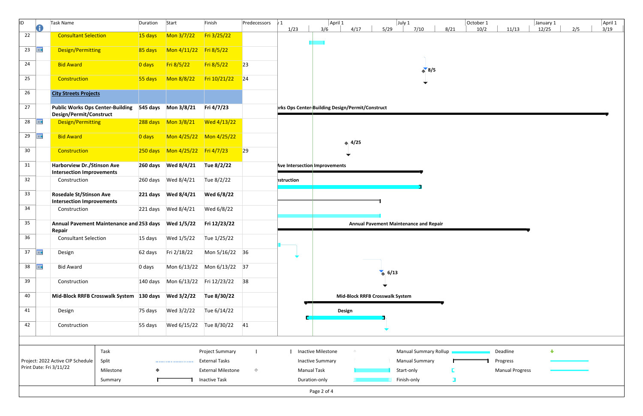| ID.             |            | Task Name                                                                       |           | Duration  | Start                  | Finish                                        | Predecessors | $\sqrt{1}$<br>1/23            | April 1<br>July 1<br>October 1<br>April 1<br>January 1<br>4/17<br>5/29<br>7/10<br>8/21<br>10/2<br>2/5<br>11/13<br>12/25<br>3/19<br>3/6 |
|-----------------|------------|---------------------------------------------------------------------------------|-----------|-----------|------------------------|-----------------------------------------------|--------------|-------------------------------|----------------------------------------------------------------------------------------------------------------------------------------|
| 22              |            | <b>Consultant Selection</b>                                                     |           | $15$ days | Mon $3/7/22$           | Fri 3/25/22                                   |              |                               |                                                                                                                                        |
| 23              | 再          | Design/Permitting                                                               |           | 85 days   | Mon 4/11/22 Fri 8/5/22 |                                               |              |                               |                                                                                                                                        |
| 24              |            | <b>Bid Award</b>                                                                |           | 0 days    | Fri 8/5/22             | Fri 8/5/22                                    | 23           |                               | $\binom{8}{5}$                                                                                                                         |
| 25              |            | Construction                                                                    |           |           |                        | $Fri 10/21/22$ 24                             |              |                               |                                                                                                                                        |
| 26              |            | <b>City Streets Projects</b>                                                    |           |           |                        |                                               |              |                               |                                                                                                                                        |
| 27              |            | Public Works Ops Center-Building 545 days Mon 3/8/21<br>Design/Permit/Construct |           |           |                        | Fri 4/7/23                                    |              |                               | prks Ops Center-Building Design/Permit/Construct                                                                                       |
| 28 $\Box$       |            | Design/Permitting                                                               |           |           |                        | $Wed$ 4/13/22                                 |              |                               |                                                                                                                                        |
| 29              | <b>THE</b> | <b>Bid Award</b>                                                                |           | 0 days    |                        |                                               |              |                               | $\leftrightarrow$ 4/25                                                                                                                 |
| 30 <sub>o</sub> |            | Construction                                                                    |           |           |                        |                                               | 29           |                               |                                                                                                                                        |
| 31              |            | <b>Harborview Dr./Stinson Ave</b><br><b>Intersection Improvements</b>           |           |           |                        | Tue 8/2/22                                    |              | Ave Intersection Improvements |                                                                                                                                        |
| 32              |            | Construction                                                                    |           |           |                        | Tue 8/2/22                                    |              | <b>nstruction</b>             |                                                                                                                                        |
| 33              |            | <b>Rosedale St/Stinson Ave</b><br><b>Intersection Improvements</b>              |           |           |                        | Wed 6/8/22                                    |              |                               |                                                                                                                                        |
| 34              |            | Construction                                                                    |           |           |                        | Wed 6/8/22                                    |              |                               |                                                                                                                                        |
| 35              |            | Annual Pavement Maintenance and 253 days Wed 1/5/22<br>Repair                   |           |           |                        | Fri 12/23/22                                  |              |                               | <b>Annual Pavement Maintenance and Repair</b>                                                                                          |
| 36              |            | <b>Consultant Selection</b>                                                     |           | 15 days   | Wed 1/5/22             | Tue 1/25/22                                   |              |                               |                                                                                                                                        |
| 37              | <b>THE</b> | Design                                                                          |           | 62 days   | Fri 2/18/22            | Mon 5/16/22 36                                |              |                               |                                                                                                                                        |
| 38              | <b>HIE</b> | <b>Bid Award</b>                                                                |           | 0 days    |                        | Mon 6/13/22 Mon 6/13/22 37                    |              |                               | 6/13                                                                                                                                   |
| 39              |            | Construction                                                                    |           |           |                        | 140 days    Mon 6/13/22    Fri 12/23/22    38 |              |                               |                                                                                                                                        |
| 40              |            | Mid-Block RRFB Crosswalk System 130 days Wed 3/2/22                             |           |           |                        | Tue 8/30/22                                   |              |                               | Mid-Block RRFB Crosswalk System                                                                                                        |
| 41              |            | Design                                                                          |           | 75 days   | Wed 3/2/22             | Tue 6/14/22                                   |              |                               | Design                                                                                                                                 |
| 42              |            | Construction                                                                    |           | 55 days   |                        | Wed 6/15/22 Tue 8/30/22 41                    |              |                               |                                                                                                                                        |
|                 |            |                                                                                 |           |           |                        |                                               |              |                               |                                                                                                                                        |
|                 |            | Task                                                                            |           |           |                        | <b>Project Summary</b>                        |              |                               | <b>Manual Summary Rollup</b><br>$\ddotmark$<br>Inactive Milestone<br>Deadline<br>$\iff$                                                |
|                 |            | Split<br>Project: 2022 Active CIP Schedule                                      |           |           |                        | <b>External Tasks</b>                         |              |                               | <b>Inactive Summary</b><br><b>Manual Summary</b><br>$\mathbb{R}^n$<br>Progress                                                         |
|                 |            | Print Date: Fri 3/11/22                                                         | Milestone |           |                        | <b>External Milestone</b>                     | $\Diamond$   | <b>Manual Task</b>            | <b>Manual Progress</b><br>Start-only                                                                                                   |
|                 |            |                                                                                 | Summary   |           |                        | <b>Inactive Task</b>                          |              | Duration-only                 | Finish-only<br>$\Box$                                                                                                                  |
|                 |            |                                                                                 |           |           |                        |                                               |              |                               | Page 2 of 4                                                                                                                            |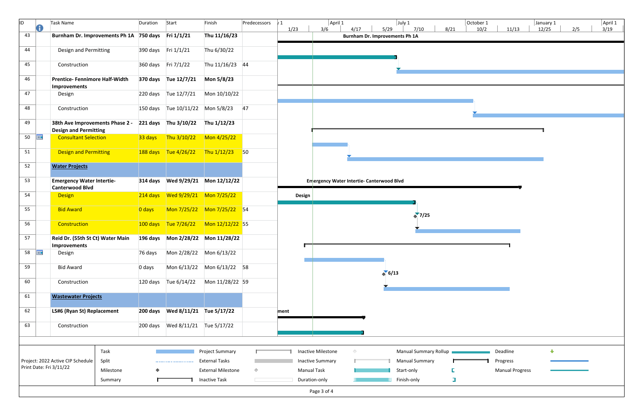| ID.<br>0                | Task Name                                                       | Duration        | Start                            | Finish                                          | Predecessors | $\sqrt{1}$ | April 1                                                     |                                               | July 1                                         |        | October 1 |                        | January 1 |     | April 1 |
|-------------------------|-----------------------------------------------------------------|-----------------|----------------------------------|-------------------------------------------------|--------------|------------|-------------------------------------------------------------|-----------------------------------------------|------------------------------------------------|--------|-----------|------------------------|-----------|-----|---------|
| 43                      | Burnham Dr. Improvements Ph 1A 750 days Fri 1/1/21              |                 |                                  | Thu 11/16/23                                    |              | 1/23       | 3/6<br>4/17                                                 | 5/29<br><b>Burnham Dr. Improvements Ph 1A</b> | 7/10                                           | 8/21   | 10/2      | 11/13                  | 12/25     | 2/5 | 3/19    |
| 44                      | Design and Permitting                                           |                 | 390 days Fri 1/1/21              | Thu 6/30/22                                     |              |            |                                                             |                                               |                                                |        |           |                        |           |     |         |
| 45                      | Construction                                                    |                 | 360 days Fri 7/1/22              | Thu 11/16/23 44                                 |              |            |                                                             |                                               |                                                |        |           |                        |           |     |         |
| 46                      | <b>Prentice- Fennimore Half-Width</b><br>Improvements           |                 | 370 days Tue 12/7/21             | Mon 5/8/23                                      |              |            |                                                             |                                               |                                                |        |           |                        |           |     |         |
| 47                      | Design                                                          |                 | 220 days Tue 12/7/21             | Mon 10/10/22                                    |              |            |                                                             |                                               |                                                |        |           |                        |           |     |         |
| 48                      | Construction                                                    |                 |                                  | 150 days Tue 10/11/22 Mon 5/8/23 47             |              |            |                                                             |                                               |                                                |        |           |                        |           |     |         |
| 49                      | 38th Ave Improvements Phase 2 -<br><b>Design and Permitting</b> |                 | 221 days Thu 3/10/22 Thu 1/12/23 |                                                 |              |            |                                                             |                                               |                                                |        |           |                        |           |     |         |
| 50<br><b>THE</b>        | <b>Consultant Selection</b>                                     | 33 days         | Thu 3/10/22                      | $M$ on 4/25/22                                  |              |            |                                                             |                                               |                                                |        |           |                        |           |     |         |
| 51                      | Design and Permitting                                           |                 |                                  | $188 \text{ days}$ Tue 4/26/22 Thu 1/12/23 50   |              |            |                                                             |                                               |                                                |        |           |                        |           |     |         |
| 52                      | <b>Water Projects</b>                                           |                 |                                  |                                                 |              |            |                                                             |                                               |                                                |        |           |                        |           |     |         |
| 53                      | <b>Emergency Water Intertie-</b><br><b>Canterwood Blvd</b>      |                 |                                  |                                                 |              |            | Emergency Water Intertie- Canterwood Blvd                   |                                               |                                                |        |           |                        |           |     |         |
| 54                      | Design                                                          |                 |                                  |                                                 |              | Design     |                                                             |                                               |                                                |        |           |                        |           |     |         |
| 55                      | <b>Bid Award</b>                                                | $\sqrt{0}$ days |                                  | Mon 7/25/22 Mon 7/25/22 54                      |              |            |                                                             |                                               | $\binom{1}{2}$                                 |        |           |                        |           |     |         |
| 56                      | Construction                                                    |                 |                                  | $100 \text{ days}$ Tue 7/26/22 Mon 12/12/22 55  |              |            |                                                             |                                               |                                                |        |           |                        |           |     |         |
| 57                      | Reid Dr. (55th St Ct) Water Main<br>Improvements                |                 |                                  |                                                 |              |            |                                                             |                                               |                                                |        |           |                        |           |     |         |
| 58 $\Box$               | Design                                                          |                 |                                  |                                                 |              |            |                                                             |                                               |                                                |        |           |                        |           |     |         |
| 59                      | <b>Bid Award</b>                                                | 0 days          |                                  | Mon 6/13/22 Mon 6/13/22 58                      |              |            |                                                             | $\triangle$ 6/13                              |                                                |        |           |                        |           |     |         |
| 60                      | Construction                                                    |                 | 120 days Tue 6/14/22             | Mon 11/28/22 59                                 |              |            |                                                             |                                               |                                                |        |           |                        |           |     |         |
| 61                      | <b>Wastewater Projects</b>                                      |                 |                                  |                                                 |              |            |                                                             |                                               |                                                |        |           |                        |           |     |         |
| 62                      | LS#6 (Ryan St) Replacement                                      |                 |                                  |                                                 |              | ment       |                                                             |                                               |                                                |        |           |                        |           |     |         |
| 63                      | Construction                                                    |                 |                                  |                                                 |              |            |                                                             |                                               |                                                |        |           |                        |           |     |         |
|                         |                                                                 |                 |                                  |                                                 |              |            |                                                             |                                               |                                                |        |           |                        |           |     |         |
|                         | Task<br>Split<br>Project: 2022 Active CIP Schedule              |                 |                                  | <b>Project Summary</b><br><b>External Tasks</b> |              |            | Inactive Milestone<br>$\Diamond$<br><b>Inactive Summary</b> |                                               | Manual Summary Rollup<br><b>Manual Summary</b> |        |           | Deadline<br>Progress   | ⊕         |     |         |
| Print Date: Fri 3/11/22 | Milestone                                                       | ♦               |                                  | <b>External Milestone</b>                       | $\Diamond$   |            | <b>Manual Task</b>                                          |                                               | Start-only                                     |        |           | <b>Manual Progress</b> |           |     |         |
|                         | Summary                                                         |                 |                                  | <b>Inactive Task</b>                            |              |            | Duration-only                                               |                                               | Finish-only                                    | $\Box$ |           |                        |           |     |         |
|                         |                                                                 |                 |                                  |                                                 |              |            | Page 3 of 4                                                 |                                               |                                                |        |           |                        |           |     |         |

| tober 1:<br>10/2 | 11/13                                          | January 1<br>12/25 | 2/5 | April 1<br>3/19 |
|------------------|------------------------------------------------|--------------------|-----|-----------------|
|                  |                                                |                    |     |                 |
|                  |                                                |                    |     |                 |
|                  |                                                |                    |     |                 |
|                  |                                                | 1                  |     |                 |
|                  |                                                |                    |     |                 |
|                  |                                                |                    |     |                 |
|                  |                                                |                    |     |                 |
|                  |                                                |                    |     |                 |
|                  |                                                |                    |     |                 |
|                  |                                                |                    |     |                 |
|                  |                                                |                    |     |                 |
|                  |                                                |                    |     |                 |
| 1                | Deadline<br>Progress<br><b>Manual Progress</b> | ⊕                  |     |                 |
|                  |                                                |                    |     |                 |